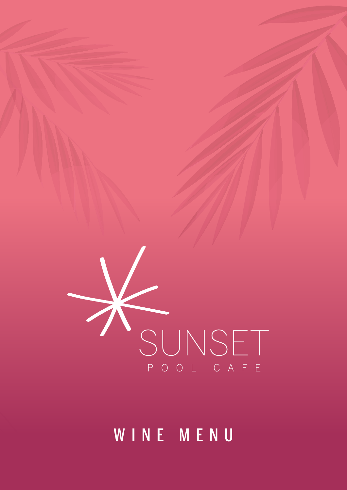# WINE MENU

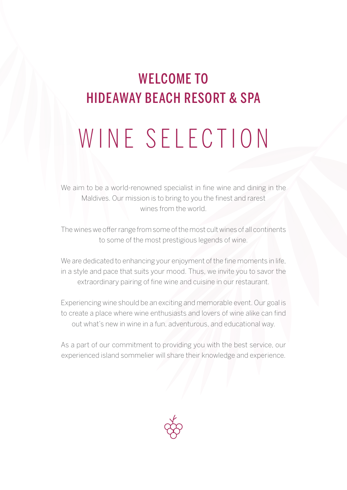### WELCOME TO HIDEAWAY BEACH RESORT & SPA

# WINE SELECTION

We aim to be a world-renowned specialist in fine wine and dining in the Maldives. Our mission is to bring to you the finest and rarest wines from the world.

The wines we offer range from some of the most cult wines of all continents to some of the most prestigious legends of wine.

We are dedicated to enhancing your enjoyment of the fine moments in life, in a style and pace that suits your mood. Thus, we invite you to savor the extraordinary pairing of fine wine and cuisine in our restaurant.

Experiencing wine should be an exciting and memorable event. Our goal is to create a place where wine enthusiasts and lovers of wine alike can find out what's new in wine in a fun, adventurous, and educational way.

As a part of our commitment to providing you with the best service, our experienced island sommelier will share their knowledge and experience.

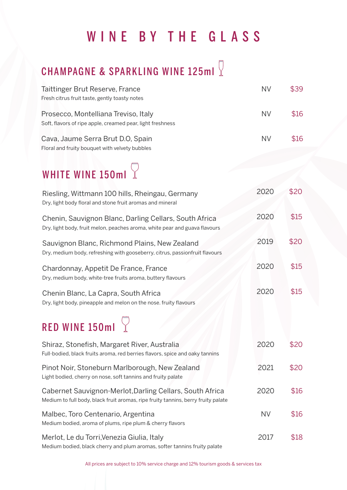# WINE BY THE GLASS

# CHAMPAGNE & SPARKLING WINE 125ml

| Taittinger Brut Reserve, France<br>Fresh citrus fruit taste, gently toasty notes                                                              | <b>NV</b> | \$39 |
|-----------------------------------------------------------------------------------------------------------------------------------------------|-----------|------|
| Prosecco, Montelliana Treviso, Italy<br>Soft, flavors of ripe apple, creamed pear, light freshness                                            | <b>NV</b> | \$16 |
| Cava, Jaume Serra Brut D.O, Spain<br>Floral and fruity bouquet with velvety bubbles                                                           | <b>NV</b> | \$16 |
| WHITE WINE 150ml $\sqrt{ }$                                                                                                                   |           |      |
| Riesling, Wittmann 100 hills, Rheingau, Germany<br>Dry, light body floral and stone fruit aromas and mineral                                  | 2020      | \$20 |
| Chenin, Sauvignon Blanc, Darling Cellars, South Africa<br>Dry, light body, fruit melon, peaches aroma, white pear and guava flavours          | 2020      | \$15 |
| Sauvignon Blanc, Richmond Plains, New Zealand<br>Dry, medium body, refreshing with gooseberry, citrus, passionfruit flavours                  | 2019      | \$20 |
| Chardonnay, Appetit De France, France<br>Dry, medium body, white-tree fruits aroma, buttery flavours                                          | 2020      | \$15 |
| Chenin Blanc, La Capra, South Africa<br>Dry, light body, pineapple and melon on the nose. fruity flavours                                     | 2020      | \$15 |
| RED WINE 150ml $\sqrt{ }$                                                                                                                     |           |      |
| Shiraz, Stonefish, Margaret River, Australia<br>Full-bodied, black fruits aroma, red berries flavors, spice and oaky tannins                  | 2020      | \$20 |
| Pinot Noir, Stoneburn Marlborough, New Zealand<br>Light bodied, cherry on nose, soft tannins and fruity palate                                | 2021      | \$20 |
| Cabernet Sauvignon-Merlot, Darling Cellars, South Africa<br>Medium to full body, black fruit aromas, ripe fruity tannins, berry fruity palate | 2020      | \$16 |
| Malbec, Toro Centenario, Argentina<br>Medium bodied, aroma of plums, ripe plum & cherry flavors                                               | <b>NV</b> | \$16 |
| Merlot, Le du Torri, Venezia Giulia, Italy<br>Medium bodied, black cherry and plum aromas, softer tannins fruity palate                       | 2017      | \$18 |

All prices are subject to 10% service charge and 12% tourism goods & services tax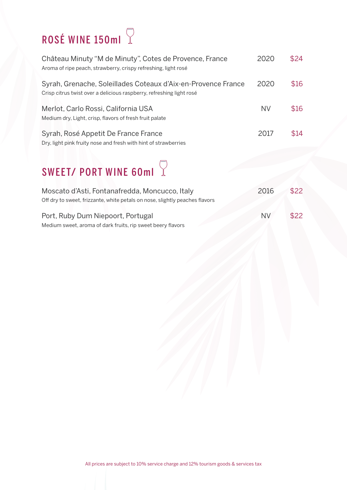# ROSÉ WINE 150ml  $\sqrt{ }$

| Château Minuty "M de Minuty", Cotes de Provence, France<br>Aroma of ripe peach, strawberry, crispy refreshing, light rosé             | 2020      | \$24 |
|---------------------------------------------------------------------------------------------------------------------------------------|-----------|------|
| Syrah, Grenache, Soleillades Coteaux d'Aix-en-Provence France<br>Crisp citrus twist over a delicious raspberry, refreshing light rosé | 2020      | \$16 |
| Merlot, Carlo Rossi, California USA<br>Medium dry, Light, crisp, flavors of fresh fruit palate                                        | <b>NV</b> | \$16 |
| Syrah, Rosé Appetit De France France<br>Dry, light pink fruity nose and fresh with hint of strawberries                               | 2017      | \$14 |

# SWEET/ PORT WINE 60ml  $\sqrt{2}$

| Moscato d'Asti, Fontanafredda, Moncucco, Italy                              | 2016      | \$22 |
|-----------------------------------------------------------------------------|-----------|------|
| Off dry to sweet, frizzante, white petals on nose, slightly peaches flavors |           |      |
| Port, Ruby Dum Niepoort, Portugal                                           | <b>NV</b> | \$22 |
| Medium sweet, aroma of dark fruits, rip sweet beery flavors                 |           |      |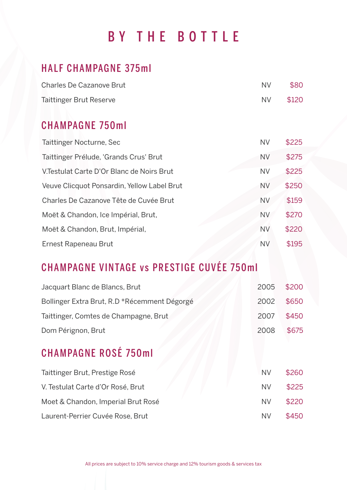## BY THE BOTTLE

### HALF CHAMPAGNE 375ml

| <b>Charles De Cazanove Brut</b> | NV.      | \$80 |
|---------------------------------|----------|------|
| <b>Taittinger Brut Reserve</b>  | NV \$120 |      |

#### CHAMPAGNE 750ml

| Taittinger Nocturne, Sec                    | <b>NV</b> | \$225 |
|---------------------------------------------|-----------|-------|
| Taittinger Prélude, 'Grands Crus' Brut      | <b>NV</b> | \$275 |
| V. Testulat Carte D'Or Blanc de Noirs Brut  | <b>NV</b> | \$225 |
| Veuve Clicquot Ponsardin, Yellow Label Brut | <b>NV</b> | \$250 |
| Charles De Cazanove Tête de Cuvée Brut      | <b>NV</b> | \$159 |
| Moët & Chandon, Ice Impérial, Brut,         | <b>NV</b> | \$270 |
| Moët & Chandon, Brut, Impérial,             | <b>NV</b> | \$220 |
| Ernest Rapeneau Brut                        | <b>NV</b> | \$195 |

### CHAMPAGNE VINTAGE vs PRESTIGE CUVÉE 750ml

| Jacquart Blanc de Blancs, Brut               | 2005      | \$200 |
|----------------------------------------------|-----------|-------|
| Bollinger Extra Brut, R.D *Récemment Dégorgé | 2002      | \$650 |
| Taittinger, Comtes de Champagne, Brut        | 2007      | \$450 |
| Dom Pérignon, Brut                           | 2008      | \$675 |
| <b>CHAMPAGNE ROSÉ 750ml</b>                  |           |       |
| Taittinger Brut, Prestige Rosé               | <b>NV</b> | \$260 |
| V. Testulat Carte d'Or Rosé, Brut            | <b>NV</b> | \$225 |
| Moet & Chandon, Imperial Brut Rosé           | <b>NV</b> | \$220 |
| Laurent-Perrier Cuvée Rose, Brut             | <b>NV</b> | \$450 |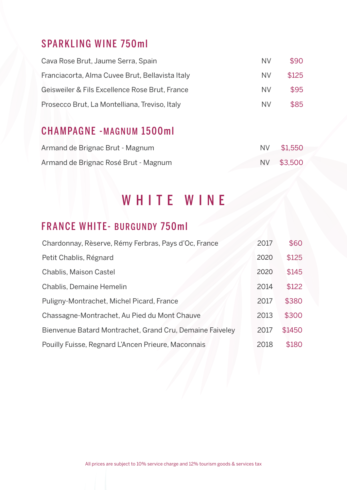### SPARKLING WINE 750ml

| Cava Rose Brut, Jaume Serra, Spain              | NV. | \$90  |
|-------------------------------------------------|-----|-------|
| Franciacorta, Alma Cuvee Brut, Bellavista Italy | NV. | \$125 |
| Geisweiler & Fils Excellence Rose Brut, France  | NV. | \$95  |
| Prosecco Brut, La Montelliana, Treviso, Italy   | NV. | \$85  |

### CHAMPAGNE -MAGNUM 1500ml

| Armand de Brignac Brut - Magnum      | NV \$1,550 |
|--------------------------------------|------------|
| Armand de Brignac Rosé Brut - Magnum | NV \$3,500 |

### WHITE WINE

### FRANCE WHITE- BURGUNDY 750ml

| Chardonnay, Rèserve, Rémy Ferbras, Pays d'Oc, France     | 2017 | \$60   |
|----------------------------------------------------------|------|--------|
| Petit Chablis, Régnard                                   | 2020 | \$125  |
| Chablis, Maison Castel                                   | 2020 | \$145  |
| Chablis, Demaine Hemelin                                 | 2014 | \$122  |
| Puligny-Montrachet, Michel Picard, France                | 2017 | \$380  |
| Chassagne-Montrachet, Au Pied du Mont Chauve             | 2013 | \$300  |
| Bienvenue Batard Montrachet, Grand Cru, Demaine Faiveley | 2017 | \$1450 |
| Pouilly Fuisse, Regnard L'Ancen Prieure, Maconnais       | 2018 | \$180  |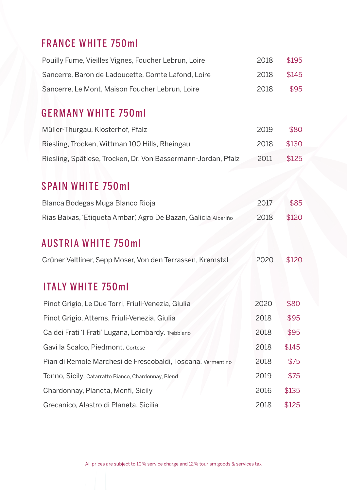### FRANCE WHITE 750ml

| Pouilly Fume, Vieilles Vignes, Foucher Lebrun, Loire | 2018 | \$195 |
|------------------------------------------------------|------|-------|
| Sancerre, Baron de Ladoucette, Comte Lafond, Loire   | 2018 | \$145 |
| Sancerre, Le Mont, Maison Foucher Lebrun, Loire      | 2018 | \$95  |

#### GERMANY WHITE 750ml

| Müller-Thurgau, Klosterhof, Pfalz                             | 2019 | \$80  |
|---------------------------------------------------------------|------|-------|
| Riesling, Trocken, Wittman 100 Hills, Rheingau                | 2018 | \$130 |
| Riesling, Spätlese, Trocken, Dr. Von Bassermann-Jordan, Pfalz | 2011 | \$125 |

### SPAIN WHITE 750ml

| Blanca Bodegas Muga Blanco Rioja                               | 2017 | \$85  |
|----------------------------------------------------------------|------|-------|
| Rias Baixas, 'Etiqueta Ambar', Agro De Bazan, Galicia Albariño | 2018 | \$120 |

### AUSTRIA WHITE 750ml

| Grüner Veltliner, Sepp Moser, Von den Terrassen, Kremstal | 2020 \$120 |  |
|-----------------------------------------------------------|------------|--|
|                                                           |            |  |

### ITALY WHITE 750ml

| Pinot Grigio, Le Due Torri, Friuli-Venezia, Giulia          | 2020 | \$80  |
|-------------------------------------------------------------|------|-------|
| Pinot Grigio, Attems, Friuli-Venezia, Giulia                | 2018 | \$95  |
| Ca dei Frati 'I Frati' Lugana, Lombardy. Trebbiano          | 2018 | \$95  |
| Gavi la Scalco, Piedmont. Cortese                           | 2018 | \$145 |
| Pian di Remole Marchesi de Frescobaldi, Toscana. Vermentino | 2018 | \$75  |
| Tonno, Sicily. Catarratto Bianco, Chardonnay, Blend         | 2019 | \$75  |
| Chardonnay, Planeta, Menfi, Sicily                          | 2016 | \$135 |
| Grecanico, Alastro di Planeta, Sicilia                      | 2018 | \$125 |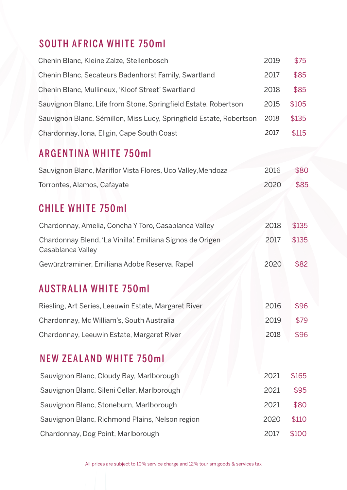### SOUTH AFRICA WHITE 750ml

| Chenin Blanc, Kleine Zalze, Stellenbosch                            | 2019 | \$75  |
|---------------------------------------------------------------------|------|-------|
| Chenin Blanc, Secateurs Badenhorst Family, Swartland                | 2017 | \$85  |
| Chenin Blanc, Mullineux, 'Kloof Street' Swartland                   | 2018 | \$85  |
| Sauvignon Blanc, Life from Stone, Springfield Estate, Robertson     | 2015 | \$105 |
| Sauvignon Blanc, Sémillon, Miss Lucy, Springfield Estate, Robertson | 2018 | \$135 |
| Chardonnay, Iona, Eligin, Cape South Coast                          | 2017 | \$115 |

### ARGENTINA WHITE 750ml

| Sauvignon Blanc, Mariflor Vista Flores, Uco Valley, Mendoza | 2016 | \$80 |
|-------------------------------------------------------------|------|------|
| Torrontes, Alamos, Cafayate                                 | 2020 | \$85 |

### CHILE WHITE 750ml

| Chardonnay, Amelia, Concha Y Toro, Casablanca Valley                           | 2018 | \$135 |
|--------------------------------------------------------------------------------|------|-------|
| Chardonnay Blend, 'La Vinilla', Emiliana Signos de Origen<br>Casablanca Valley | 2017 | \$135 |
| Gewürztraminer, Emiliana Adobe Reserva, Rapel                                  | 2020 | \$82  |
| <b>AUSTRALIA WHITE 750ml</b>                                                   |      |       |
| Riesling, Art Series, Leeuwin Estate, Margaret River                           | 2016 | \$96  |
| Chardonnay, Mc William's, South Australia                                      | 2019 | \$79  |
| Chardonnay, Leeuwin Estate, Margaret River                                     | 2018 | \$96  |

# NEW ZEALAND WHITE 750ml

| Sauvignon Blanc, Cloudy Bay, Marlborough        | 2021 | \$165 |
|-------------------------------------------------|------|-------|
| Sauvignon Blanc, Sileni Cellar, Marlborough     | 2021 | \$95  |
| Sauvignon Blanc, Stoneburn, Marlborough         | 2021 | \$80  |
| Sauvignon Blanc, Richmond Plains, Nelson region | 2020 | \$110 |
| Chardonnay, Dog Point, Marlborough              | 2017 | \$100 |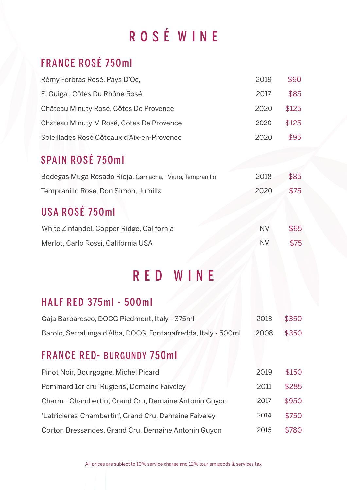# ROS É WINE

### FRANCE ROSÉ 750ml

| Rémy Ferbras Rosé, Pays D'Oc,              | 2019 | \$60  |
|--------------------------------------------|------|-------|
| E. Guigal, Côtes Du Rhône Rosé             | 2017 | \$85  |
| Château Minuty Rosé, Côtes De Provence     | 2020 | \$125 |
| Château Minuty M Rosé, Côtes De Provence   | 2020 | \$125 |
| Soleillades Rosé Côteaux d'Aix-en-Provence | 2020 | \$95  |

### SPAIN ROSÉ 750ml

| Bodegas Muga Rosado Rioja. Garnacha, - Viura, Tempranillo | 2018 | \$85 |
|-----------------------------------------------------------|------|------|
| Tempranillo Rosé, Don Simon, Jumilla                      | 2020 | \$75 |

### USA ROSÉ 750ml

| White Zinfandel, Copper Ridge, California | <b>NV</b> | \$65 |
|-------------------------------------------|-----------|------|
| Merlot, Carlo Rossi, California USA       | <b>NV</b> | \$75 |

### RED WINE

### HALF RED 375ml - 500ml

| Gaja Barbaresco, DOCG Piedmont, Italy - 375ml                 | 2013       | \$350 |
|---------------------------------------------------------------|------------|-------|
| Barolo, Serralunga d'Alba, DOCG, Fontanafredda, Italy - 500ml | 2008 \$350 |       |

### FRANCE RED- BURGUNDY 750ml

| Pinot Noir, Bourgogne, Michel Picard                  | 2019 | \$150 |
|-------------------------------------------------------|------|-------|
| Pommard 1er cru 'Rugiens', Demaine Faiveley           | 2011 | \$285 |
| Charm - Chambertin', Grand Cru, Demaine Antonin Guyon | 2017 | \$950 |
| 'Latricieres-Chambertin', Grand Cru, Demaine Faiveley | 2014 | \$750 |
| Corton Bressandes, Grand Cru, Demaine Antonin Guyon   | 2015 | \$780 |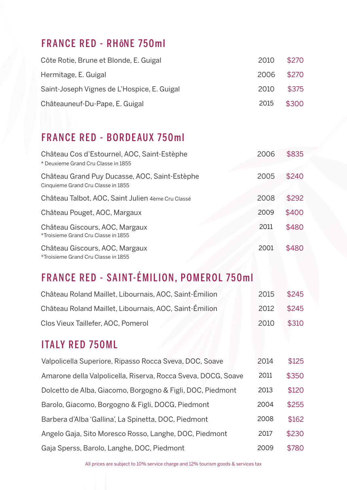### FRANCE RED - RHÔNE 750ml

| Côte Rotie, Brune et Blonde, E. Guigal      | 2010       | \$270 |
|---------------------------------------------|------------|-------|
| Hermitage, E. Guigal                        | 2006 \$270 |       |
| Saint-Joseph Vignes de L'Hospice, E. Guigal | 2010       | \$375 |
| Châteauneuf-Du-Pape, E. Guigal              | 2015 \$300 |       |

### FRANCE RED - BORDEAUX 750ml

| Château Cos d'Estournel, AOC, Saint-Estèphe<br>* Deuxieme Grand Cru Classe in 1855  | 2006 | \$835 |
|-------------------------------------------------------------------------------------|------|-------|
| Château Grand Puy Ducasse, AOC, Saint-Estèphe<br>Cinquieme Grand Cru Classe in 1855 | 2005 | \$240 |
| Château Talbot, AOC, Saint Julien 4ème Cru Classé                                   | 2008 | \$292 |
| Château Pouget, AOC, Margaux                                                        | 2009 | \$400 |
| Château Giscours, AOC, Margaux<br>*Troisieme Grand Cru Classe in 1855               | 2011 | \$480 |
| Château Giscours, AOC, Margaux<br>*Troisieme Grand Cru Classe in 1855               | 2001 | \$480 |

### FRANCE RED - SAINT-ÉMILION, POMEROL 750ml

| Château Roland Maillet, Libournais, AOC, Saint-Émilion | 2015 \$245 |       |
|--------------------------------------------------------|------------|-------|
| Château Roland Maillet, Libournais, AOC, Saint-Émilion | 2012 \$245 |       |
| Clos Vieux Taillefer, AOC, Pomerol                     | 2010       | \$310 |

### ITALY RED 750ML

| Valpolicella Superiore, Ripasso Rocca Sveva, DOC, Soave       | 2014 | \$125 |
|---------------------------------------------------------------|------|-------|
| Amarone della Valpolicella, Riserva, Rocca Sveva, DOCG, Soave | 2011 | \$350 |
| Dolcetto de Alba, Giacomo, Borgogno & Figli, DOC, Piedmont    | 2013 | \$120 |
| Barolo, Giacomo, Borgogno & Figli, DOCG, Piedmont             | 2004 | \$255 |
| Barbera d'Alba 'Gallina', La Spinetta, DOC, Piedmont          | 2008 | \$162 |
| Angelo Gaja, Sito Moresco Rosso, Langhe, DOC, Piedmont        | 2017 | \$230 |
| Gaja Sperss, Barolo, Langhe, DOC, Piedmont                    | 2009 | \$780 |

All prices are subject to 10% service charge and 12% tourism goods & services tax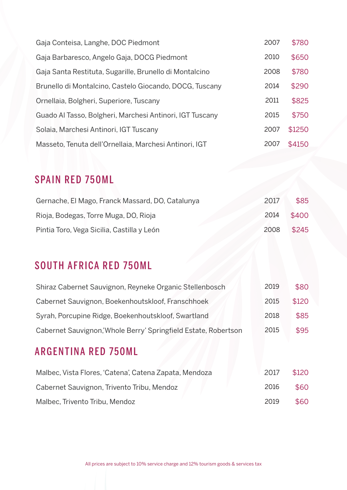| Gaja Conteisa, Langhe, DOC Piedmont                      | 2007 | \$780  |
|----------------------------------------------------------|------|--------|
| Gaja Barbaresco, Angelo Gaja, DOCG Piedmont              | 2010 | \$650  |
| Gaja Santa Restituta, Sugarille, Brunello di Montalcino  | 2008 | \$780  |
| Brunello di Montalcino, Castelo Giocando, DOCG, Tuscany  | 2014 | \$290  |
| Ornellaia, Bolgheri, Superiore, Tuscany                  | 2011 | \$825  |
| Guado Al Tasso, Bolgheri, Marchesi Antinori, IGT Tuscany | 2015 | \$750  |
| Solaia, Marchesi Antinori, IGT Tuscany                   | 2007 | \$1250 |
| Masseto, Tenuta dell'Ornellaia, Marchesi Antinori, IGT   | 2007 | \$4150 |

### SPAIN RED 750ML

| Gernache, El Mago, Franck Massard, DO, Catalunya | 2017 | \$85  |
|--------------------------------------------------|------|-------|
| Rioja, Bodegas, Torre Muga, DO, Rioja            | 2014 | \$400 |
| Pintia Toro, Vega Sicilia, Castilla y León       | 2008 | \$245 |

### SOUTH AFRICA RED 750ML

| Shiraz Cabernet Sauvignon, Reyneke Organic Stellenbosch        | 2019 | \$80  |
|----------------------------------------------------------------|------|-------|
| Cabernet Sauvignon, Boekenhoutskloof, Franschhoek              | 2015 | \$120 |
| Syrah, Porcupine Ridge, Boekenhoutskloof, Swartland            | 2018 | \$85  |
| Cabernet Sauvignon,'Whole Berry' Springfield Estate, Robertson | 2015 | \$95  |

### ARGENTINA RED 750ML

| Malbec, Vista Flores, 'Catena', Catena Zapata, Mendoza | 2017 | \$120 |
|--------------------------------------------------------|------|-------|
| Cabernet Sauvignon, Trivento Tribu, Mendoz             | 2016 | \$60  |
| Malbec, Trivento Tribu, Mendoz                         | 2019 | \$60  |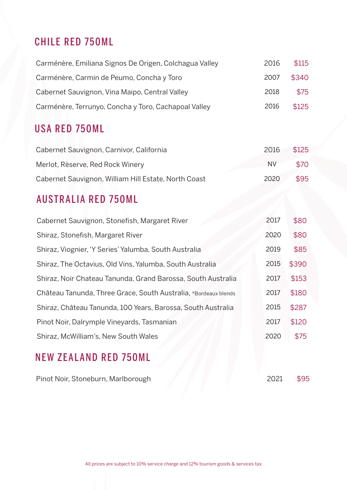### CHILE RED 750ML

| Carménère, Emiliana Signos De Origen, Colchagua Valley | 2016 | \$115 |
|--------------------------------------------------------|------|-------|
| Carménère, Carmin de Peumo, Concha y Toro              | 2007 | \$340 |
| Cabernet Sauvignon, Vina Maipo, Central Valley         | 2018 | \$75  |
| Carménère, Terrunyo, Concha y Toro, Cachapoal Valley   | 2016 | \$125 |

### USA RED 750ML

| Cabernet Sauvignon, Carnivor, California             | 2016 | \$125       |
|------------------------------------------------------|------|-------------|
| Merlot, Rèserve, Red Rock Winery                     | NV.  | <b>\$70</b> |
| Cabernet Sauvignon, William Hill Estate, North Coast | 2020 | \$95        |

### AUSTRALIA RED 750ML

| Cabernet Sauvignon, Stonefish, Margaret River                   | 2017 | \$80  |
|-----------------------------------------------------------------|------|-------|
| Shiraz, Stonefish, Margaret River                               | 2020 | \$80  |
| Shiraz, Viognier, 'Y Series' Yalumba, South Australia           | 2019 | \$85  |
| Shiraz, The Octavius, Old Vins, Yalumba, South Australia        | 2015 | \$390 |
| Shiraz, Noir Chateau Tanunda, Grand Barossa, South Australia    | 2017 | \$153 |
| Château Tanunda, Three Grace, South Australia, *Bordeaux blends | 2017 | \$180 |
| Shiraz, Château Tanunda, 100 Years, Barossa, South Australia    | 2015 | \$287 |
| Pinot Noir, Dalrymple Vineyards, Tasmanian                      | 2017 | \$120 |
| Shiraz, McWilliam's, New South Wales                            | 2020 | \$75  |
|                                                                 |      |       |

### NEW ZEALAND RED 750ML

Pinot Noir, Stoneburn, Marlborough 2021 \$95